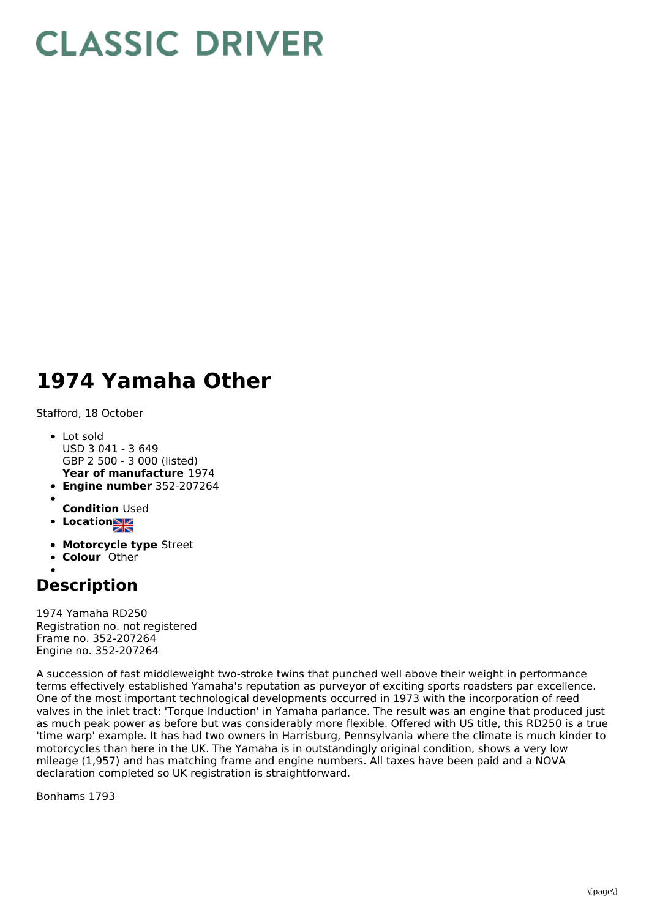## **CLASSIC DRIVER**

## **1974 Yamaha Other**

Stafford, 18 October

- **Year of manufacture** 1974 Lot sold USD 3 041 - 3 649 GBP 2 500 - 3 000 (listed)
- **Engine number** 352-207264
- **Condition** Used
- Location
- **Motorcycle type** Street
- **Colour** Other
- 

## **Description**

1974 Yamaha RD250 Registration no. not registered Frame no. 352-207264 Engine no. 352-207264

A succession of fast middleweight two-stroke twins that punched well above their weight in performance terms effectively established Yamaha's reputation as purveyor of exciting sports roadsters par excellence. One of the most important technological developments occurred in 1973 with the incorporation of reed valves in the inlet tract: 'Torque Induction' in Yamaha parlance. The result was an engine that produced just as much peak power as before but was considerably more flexible. Offered with US title, this RD250 is a true 'time warp' example. It has had two owners in Harrisburg, Pennsylvania where the climate is much kinder to motorcycles than here in the UK. The Yamaha is in outstandingly original condition, shows a very low mileage (1,957) and has matching frame and engine numbers. All taxes have been paid and a NOVA declaration completed so UK registration is straightforward.

Bonhams 1793